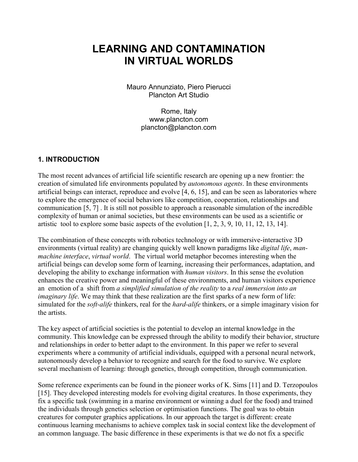# **LEARNING AND CONTAMINATION IN VIRTUAL WORLDS**

Mauro Annunziato, Piero Pierucci Plancton Art Studio

> Rome, Italy www.plancton.com plancton@plancton.com

#### **1. INTRODUCTION**

The most recent advances of artificial life scientific research are opening up a new frontier: the creation of simulated life environments populated by *autonomous agents*. In these environments artificial beings can interact, reproduce and evolve [4, 6, 15], and can be seen as laboratories where to explore the emergence of social behaviors like competition, cooperation, relationships and communication [5, 7] . It is still not possible to approach a reasonable simulation of the incredible complexity of human or animal societies, but these environments can be used as a scientific or artistic tool to explore some basic aspects of the evolution [1, 2, 3, 9, 10, 11, 12, 13, 14].

The combination of these concepts with robotics technology or with immersive-interactive 3D environments (virtual reality) are changing quickly well known paradigms like *digital life*, *manmachine interface*, *virtual world*. The virtual world metaphor becomes interesting when the artificial beings can develop some form of learning, increasing their performances, adaptation, and developing the ability to exchange information with *human visitors*. In this sense the evolution enhances the creative power and meaningful of these environments, and human visitors experience an emotion of a shift from *a simplified simulation of the reality* to a *real immersion into an imaginary life*. We may think that these realization are the first sparks of a new form of life: simulated for the *soft-alife* thinkers, real for the *hard-alife* thinkers, or a simple imaginary vision for the artists.

The key aspect of artificial societies is the potential to develop an internal knowledge in the community. This knowledge can be expressed through the ability to modify their behavior, structure and relationships in order to better adapt to the environment. In this paper we refer to several experiments where a community of artificial individuals, equipped with a personal neural network, autonomously develop a behavior to recognize and search for the food to survive. We explore several mechanism of learning: through genetics, through competition, through communication.

Some reference experiments can be found in the pioneer works of K. Sims [11] and D. Terzopoulos [15]. They developed interesting models for evolving digital creatures. In those experiments, they fix a specific task (swimming in a marine environment or winning a duel for the food) and trained the individuals through genetics selection or optimisation functions. The goal was to obtain creatures for computer graphics applications. In our approach the target is different: create continuous learning mechanisms to achieve complex task in social context like the development of an common language. The basic difference in these experiments is that we do not fix a specific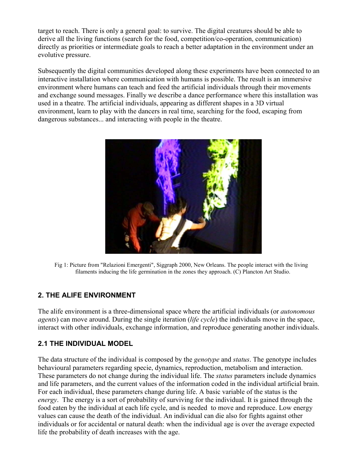target to reach. There is only a general goal: to survive. The digital creatures should be able to derive all the living functions (search for the food, competition/co-operation, communication) directly as priorities or intermediate goals to reach a better adaptation in the environment under an evolutive pressure.

Subsequently the digital communities developed along these experiments have been connected to an interactive installation where communication with humans is possible. The result is an immersive environment where humans can teach and feed the artificial individuals through their movements and exchange sound messages. Finally we describe a dance performance where this installation was used in a theatre. The artificial individuals, appearing as different shapes in a 3D virtual environment, learn to play with the dancers in real time, searching for the food, escaping from dangerous substances... and interacting with people in the theatre.



Fig 1: Picture from "Relazioni Emergenti", Siggraph 2000, New Orleans. The people interact with the living filaments inducing the life germination in the zones they approach. (C) Plancton Art Studio.

# **2. THE ALIFE ENVIRONMENT**

The alife environment is a three-dimensional space where the artificial individuals (or *autonomous agents*) can move around. During the single iteration (*life cycle*) the individuals move in the space, interact with other individuals, exchange information, and reproduce generating another individuals.

## **2.1 THE INDIVIDUAL MODEL**

The data structure of the individual is composed by the *genotype* and *status*. The genotype includes behavioural parameters regarding specie, dynamics, reproduction, metabolism and interaction. These parameters do not change during the individual life. The *status* parameters include dynamics and life parameters, and the current values of the information coded in the individual artificial brain. For each individual, these parameters change during life. A basic variable of the status is the *energy*. The energy is a sort of probability of surviving for the individual. It is gained through the food eaten by the individual at each life cycle, and is needed to move and reproduce. Low energy values can cause the death of the individual. An individual can die also for fights against other individuals or for accidental or natural death: when the individual age is over the average expected life the probability of death increases with the age.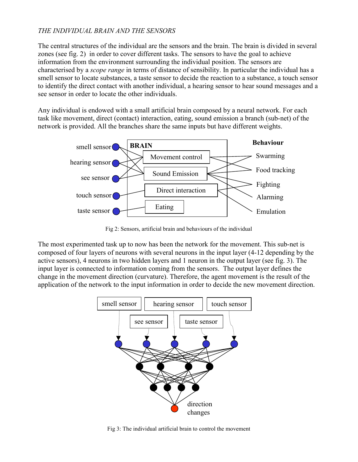#### *THE INDIVIDUAL BRAIN AND THE SENSORS*

The central structures of the individual are the sensors and the brain. The brain is divided in several zones (see fig. 2) in order to cover different tasks. The sensors to have the goal to achieve information from the environment surrounding the individual position. The sensors are characterised by a *scope range* in terms of distance of sensibility. In particular the individual has a smell sensor to locate substances, a taste sensor to decide the reaction to a substance, a touch sensor to identify the direct contact with another individual, a hearing sensor to hear sound messages and a see sensor in order to locate the other individuals.

Any individual is endowed with a small artificial brain composed by a neural network. For each task like movement, direct (contact) interaction, eating, sound emission a branch (sub-net) of the network is provided. All the branches share the same inputs but have different weights.



Fig 2: Sensors, artificial brain and behaviours of the individual

The most experimented task up to now has been the network for the movement. This sub-net is composed of four layers of neurons with several neurons in the input layer (4-12 depending by the active sensors), 4 neurons in two hidden layers and 1 neuron in the output layer (see fig. 3). The input layer is connected to information coming from the sensors. The output layer defines the change in the movement direction (curvature). Therefore, the agent movement is the result of the application of the network to the input information in order to decide the new movement direction.



Fig 3: The individual artificial brain to control the movement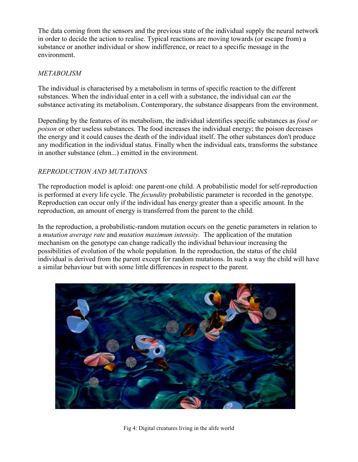The data coming from the sensors and the previous state of the individual supply the neural network in order to decide the action to realise. Typical reactions are moving towards (or escape from) a substance or another individual or show indifference, or react to a specific message in the environment.

#### *METABOLISM*

The individual is characterised by a metabolism in terms of specific reaction to the different substances. When the individual enter in a cell with a substance, the individual can *eat* the substance activating its metabolism. Contemporary, the substance disappears from the environment.

Depending by the features of its metabolism, the individual identifies specific substances as *food or poison* or other useless substances. The food increases the individual energy; the poison decreases the energy and it could causes the death of the individual itself. The other substances don't produce any modification in the individual status. Finally when the individual eats, transforms the substance in another substance (ehm...) emitted in the environment.

## *REPRODUCTION AND MUTATIONS*

The reproduction model is aploid: one parent-one child. A probabilistic model for self-reproduction is performed at every life cycle. The *fecundity* probabilistic parameter is recorded in the genotype. Reproduction can occur only if the individual has energy greater than a specific amount. In the reproduction, an amount of energy is transferred from the parent to the child.

In the reproduction, a probabilistic-random mutation occurs on the genetic parameters in relation to a *mutation average rate* and *mutation maximum intensity.* The application of the mutation mechanism on the genotype can change radically the individual behaviour increasing the possibilities of evolution of the whole population. In the reproduction, the status of the child individual is derived from the parent except for random mutations. In such a way the child will have a similar behaviour but with some little differences in respect to the parent.



Fig 4: Digital creatures living in the alife world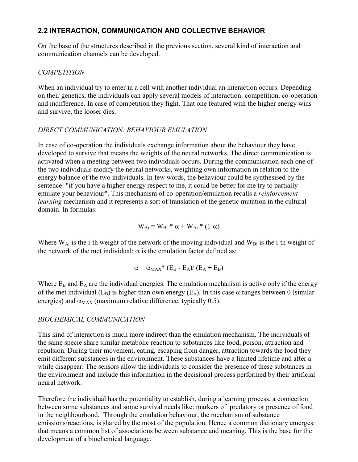## **2.2 INTERACTION, COMMUNICATION AND COLLECTIVE BEHAVIOR**

On the base of the structures described in the previous section, several kind of interaction and communication channels can be developed.

# *COMPETITION*

When an individual try to enter in a cell with another individual an interaction occurs. Depending on their genetics, the individuals can apply several models of interaction: competition, co-operation and indifference. In case of competition they fight. That one featured with the higher energy wins and survive, the looser dies.

# *DIRECT COMMUNICATION: BEHAVIOUR EMULATION*

In case of co-operation the individuals exchange information about the behaviour they have developed to survive that means the weights of the neural networks. The direct communication is activated when a meeting between two individuals occurs. During the communication each one of the two individuals modify the neural networks, weighting own information in relation to the energy balance of the two individuals. In few words, the behaviour could be synthesised by the sentence: "if you have a higher energy respect to me, it could be better for me try to partially emulate your behaviour". This mechanism of co-operation/emulation recalls a *reinforcement learning* mechanism and it represents a sort of translation of the genetic mutation in the cultural domain. In formulas:

 $W_{Ai} = W_{Bi} * \alpha + W_{Ai} * (1-\alpha)$ 

Where  $W_{Ai}$  is the i-th weight of the network of the moving individual and  $W_{Bi}$  is the i-th weight of the network of the met individual;  $\alpha$  is the emulation factor defined as:

$$
\alpha = \alpha_{MAX} * (E_B - E_A) / (E_A + E_B)
$$

Where  $E_B$  and  $E_A$  are the individual energies. The emulation mechanism is active only if the energy of the met individual (E<sub>B</sub>) is higher than own energy (E<sub>A</sub>). In this case  $\alpha$  ranges between 0 (similar energies) and  $\alpha_{MAX}$  (maximum relative difference, typically 0.5).

# *BIOCHEMICAL COMMUNICATION*

This kind of interaction is much more indirect than the emulation mechanism. The individuals of the same specie share similar metabolic reaction to substances like food, poison, attraction and repulsion. During their movement, eating, escaping from danger, attraction towards the food they emit different substances in the environment. These substances have a limited lifetime and after a while disappear. The sensors allow the individuals to consider the presence of these substances in the environment and include this information in the decisional process performed by their artificial neural network.

Therefore the individual has the potentiality to establish, during a learning process, a connection between some substances and some survival needs like: markers of predatory or presence of food in the neighbourhood. Through the emulation behaviour, the mechanism of substance emissions/reactions, is shared by the most of the population. Hence a common dictionary emerges: that means a common list of associations between substance and meaning. This is the base for the development of a biochemical language.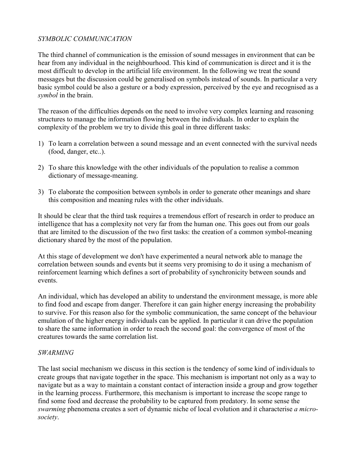#### *SYMBOLIC COMMUNICATION*

The third channel of communication is the emission of sound messages in environment that can be hear from any individual in the neighbourhood. This kind of communication is direct and it is the most difficult to develop in the artificial life environment. In the following we treat the sound messages but the discussion could be generalised on symbols instead of sounds. In particular a very basic symbol could be also a gesture or a body expression, perceived by the eye and recognised as a *symbol* in the brain.

The reason of the difficulties depends on the need to involve very complex learning and reasoning structures to manage the information flowing between the individuals. In order to explain the complexity of the problem we try to divide this goal in three different tasks:

- 1) To learn a correlation between a sound message and an event connected with the survival needs (food, danger, etc..).
- 2) To share this knowledge with the other individuals of the population to realise a common dictionary of message-meaning.
- 3) To elaborate the composition between symbols in order to generate other meanings and share this composition and meaning rules with the other individuals.

It should be clear that the third task requires a tremendous effort of research in order to produce an intelligence that has a complexity not very far from the human one. This goes out from our goals that are limited to the discussion of the two first tasks: the creation of a common symbol-meaning dictionary shared by the most of the population.

At this stage of development we don't have experimented a neural network able to manage the correlation between sounds and events but it seems very promising to do it using a mechanism of reinforcement learning which defines a sort of probability of synchronicity between sounds and events.

An individual, which has developed an ability to understand the environment message, is more able to find food and escape from danger. Therefore it can gain higher energy increasing the probability to survive. For this reason also for the symbolic communication, the same concept of the behaviour emulation of the higher energy individuals can be applied. In particular it can drive the population to share the same information in order to reach the second goal: the convergence of most of the creatures towards the same correlation list.

#### *SWARMING*

The last social mechanism we discuss in this section is the tendency of some kind of individuals to create groups that navigate together in the space. This mechanism is important not only as a way to navigate but as a way to maintain a constant contact of interaction inside a group and grow together in the learning process. Furthermore, this mechanism is important to increase the scope range to find some food and decrease the probability to be captured from predatory. In some sense the *swarming* phenomena creates a sort of dynamic niche of local evolution and it characterise *a microsociety*.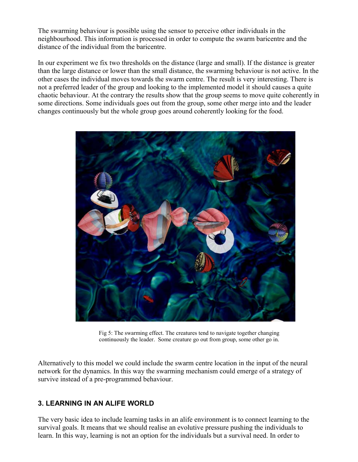The swarming behaviour is possible using the sensor to perceive other individuals in the neighbourhood. This information is processed in order to compute the swarm baricentre and the distance of the individual from the baricentre.

In our experiment we fix two thresholds on the distance (large and small). If the distance is greater than the large distance or lower than the small distance, the swarming behaviour is not active. In the other cases the individual moves towards the swarm centre. The result is very interesting. There is not a preferred leader of the group and looking to the implemented model it should causes a quite chaotic behaviour. At the contrary the results show that the group seems to move quite coherently in some directions. Some individuals goes out from the group, some other merge into and the leader changes continuously but the whole group goes around coherently looking for the food.



Fig 5: The swarming effect. The creatures tend to navigate together changing continuously the leader. Some creature go out from group, some other go in.

Alternatively to this model we could include the swarm centre location in the input of the neural network for the dynamics. In this way the swarming mechanism could emerge of a strategy of survive instead of a pre-programmed behaviour.

## **3. LEARNING IN AN ALIFE WORLD**

The very basic idea to include learning tasks in an alife environment is to connect learning to the survival goals. It means that we should realise an evolutive pressure pushing the individuals to learn. In this way, learning is not an option for the individuals but a survival need. In order to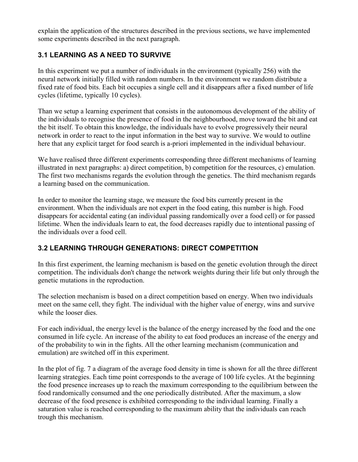explain the application of the structures described in the previous sections, we have implemented some experiments described in the next paragraph.

# **3.1 LEARNING AS A NEED TO SURVIVE**

In this experiment we put a number of individuals in the environment (typically 256) with the neural network initially filled with random numbers. In the environment we random distribute a fixed rate of food bits. Each bit occupies a single cell and it disappears after a fixed number of life cycles (lifetime, typically 10 cycles).

Than we setup a learning experiment that consists in the autonomous development of the ability of the individuals to recognise the presence of food in the neighbourhood, move toward the bit and eat the bit itself. To obtain this knowledge, the individuals have to evolve progressively their neural network in order to react to the input information in the best way to survive. We would to outline here that any explicit target for food search is a-priori implemented in the individual behaviour.

We have realised three different experiments corresponding three different mechanisms of learning illustrated in next paragraphs: a) direct competition, b) competition for the resources, c) emulation. The first two mechanisms regards the evolution through the genetics. The third mechanism regards a learning based on the communication.

In order to monitor the learning stage, we measure the food bits currently present in the environment. When the individuals are not expert in the food eating, this number is high. Food disappears for accidental eating (an individual passing randomically over a food cell) or for passed lifetime. When the individuals learn to eat, the food decreases rapidly due to intentional passing of the individuals over a food cell.

# **3.2 LEARNING THROUGH GENERATIONS: DIRECT COMPETITION**

In this first experiment, the learning mechanism is based on the genetic evolution through the direct competition. The individuals don't change the network weights during their life but only through the genetic mutations in the reproduction.

The selection mechanism is based on a direct competition based on energy. When two individuals meet on the same cell, they fight. The individual with the higher value of energy, wins and survive while the looser dies.

For each individual, the energy level is the balance of the energy increased by the food and the one consumed in life cycle. An increase of the ability to eat food produces an increase of the energy and of the probability to win in the fights. All the other learning mechanism (communication and emulation) are switched off in this experiment.

In the plot of fig. 7 a diagram of the average food density in time is shown for all the three different learning strategies. Each time point corresponds to the average of 100 life cycles. At the beginning the food presence increases up to reach the maximum corresponding to the equilibrium between the food randomically consumed and the one periodically distributed. After the maximum, a slow decrease of the food presence is exhibited corresponding to the individual learning. Finally a saturation value is reached corresponding to the maximum ability that the individuals can reach trough this mechanism.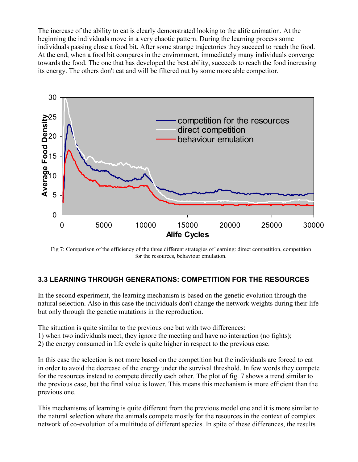The increase of the ability to eat is clearly demonstrated looking to the alife animation. At the beginning the individuals move in a very chaotic pattern. During the learning process some individuals passing close a food bit. After some strange trajectories they succeed to reach the food. At the end, when a food bit compares in the environment, immediately many individuals converge towards the food. The one that has developed the best ability, succeeds to reach the food increasing its energy. The others don't eat and will be filtered out by some more able competitor.



Fig 7: Comparison of the efficiency of the three different strategies of learning: direct competition, competition for the resources, behaviour emulation.

## **3.3 LEARNING THROUGH GENERATIONS: COMPETITION FOR THE RESOURCES**

In the second experiment, the learning mechanism is based on the genetic evolution through the natural selection. Also in this case the individuals don't change the network weights during their life but only through the genetic mutations in the reproduction.

The situation is quite similar to the previous one but with two differences:

- 1) when two individuals meet, they ignore the meeting and have no interaction (no fights);
- 2) the energy consumed in life cycle is quite higher in respect to the previous case.

In this case the selection is not more based on the competition but the individuals are forced to eat in order to avoid the decrease of the energy under the survival threshold. In few words they compete for the resources instead to compete directly each other. The plot of fig. 7 shows a trend similar to the previous case, but the final value is lower. This means this mechanism is more efficient than the previous one.

This mechanisms of learning is quite different from the previous model one and it is more similar to the natural selection where the animals compete mostly for the resources in the context of complex network of co-evolution of a multitude of different species. In spite of these differences, the results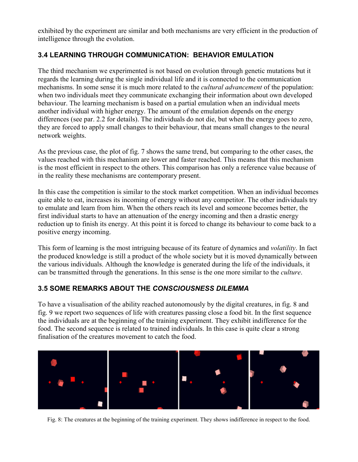exhibited by the experiment are similar and both mechanisms are very efficient in the production of intelligence through the evolution.

# **3.4 LEARNING THROUGH COMMUNICATION: BEHAVIOR EMULATION**

The third mechanism we experimented is not based on evolution through genetic mutations but it regards the learning during the single individual life and it is connected to the communication mechanisms. In some sense it is much more related to the *cultural advancement* of the population: when two individuals meet they communicate exchanging their information about own developed behaviour. The learning mechanism is based on a partial emulation when an individual meets another individual with higher energy. The amount of the emulation depends on the energy differences (see par. 2.2 for details). The individuals do not die, but when the energy goes to zero, they are forced to apply small changes to their behaviour, that means small changes to the neural network weights.

As the previous case, the plot of fig. 7 shows the same trend, but comparing to the other cases, the values reached with this mechanism are lower and faster reached. This means that this mechanism is the most efficient in respect to the others. This comparison has only a reference value because of in the reality these mechanisms are contemporary present.

In this case the competition is similar to the stock market competition. When an individual becomes quite able to eat, increases its incoming of energy without any competitor. The other individuals try to emulate and learn from him. When the others reach its level and someone becomes better, the first individual starts to have an attenuation of the energy incoming and then a drastic energy reduction up to finish its energy. At this point it is forced to change its behaviour to come back to a positive energy incoming.

This form of learning is the most intriguing because of its feature of dynamics and *volatility*. In fact the produced knowledge is still a product of the whole society but it is moved dynamically between the various individuals. Although the knowledge is generated during the life of the individuals, it can be transmitted through the generations. In this sense is the one more similar to the *culture*.

## **3.5 SOME REMARKS ABOUT THE** *CONSCIOUSNESS DILEMMA*

To have a visualisation of the ability reached autonomously by the digital creatures, in fig. 8 and fig. 9 we report two sequences of life with creatures passing close a food bit. In the first sequence the individuals are at the beginning of the training experiment. They exhibit indifference for the food. The second sequence is related to trained individuals. In this case is quite clear a strong finalisation of the creatures movement to catch the food.



Fig. 8: The creatures at the beginning of the training experiment. They shows indifference in respect to the food.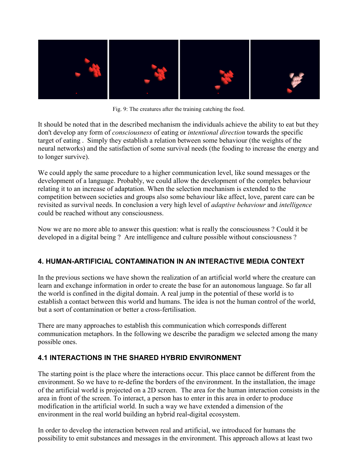

Fig. 9: The creatures after the training catching the food.

It should be noted that in the described mechanism the individuals achieve the ability to eat but they don't develop any form of *consciousness* of eating or *intentional direction* towards the specific target of eating . Simply they establish a relation between some behaviour (the weights of the neural networks) and the satisfaction of some survival needs (the fooding to increase the energy and to longer survive).

We could apply the same procedure to a higher communication level, like sound messages or the development of a language. Probably, we could allow the development of the complex behaviour relating it to an increase of adaptation. When the selection mechanism is extended to the competition between societies and groups also some behaviour like affect, love, parent care can be revisited as survival needs. In conclusion a very high level of *adaptive behaviour* and *intelligence* could be reached without any consciousness.

Now we are no more able to answer this question: what is really the consciousness ? Could it be developed in a digital being ? Are intelligence and culture possible without consciousness ?

# **4. HUMAN-ARTIFICIAL CONTAMINATION IN AN INTERACTIVE MEDIA CONTEXT**

In the previous sections we have shown the realization of an artificial world where the creature can learn and exchange information in order to create the base for an autonomous language. So far all the world is confined in the digital domain. A real jump in the potential of these world is to establish a contact between this world and humans. The idea is not the human control of the world, but a sort of contamination or better a cross-fertilisation.

There are many approaches to establish this communication which corresponds different communication metaphors. In the following we describe the paradigm we selected among the many possible ones.

# **4.1 INTERACTIONS IN THE SHARED HYBRID ENVIRONMENT**

The starting point is the place where the interactions occur. This place cannot be different from the environment. So we have to re-define the borders of the environment. In the installation, the image of the artificial world is projected on a 2D screen. The area for the human interaction consists in the area in front of the screen. To interact, a person has to enter in this area in order to produce modification in the artificial world. In such a way we have extended a dimension of the environment in the real world building an hybrid real-digital ecosystem.

In order to develop the interaction between real and artificial, we introduced for humans the possibility to emit substances and messages in the environment. This approach allows at least two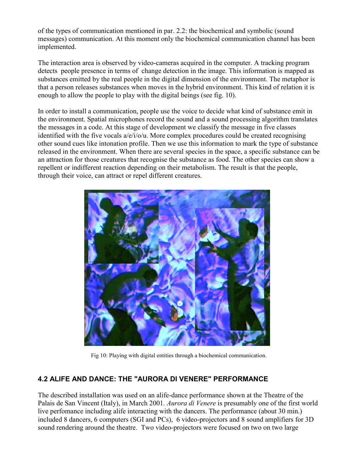of the types of communication mentioned in par. 2.2: the biochemical and symbolic (sound messages) communication. At this moment only the biochemical communication channel has been implemented.

The interaction area is observed by video-cameras acquired in the computer. A tracking program detects people presence in terms of change detection in the image. This information is mapped as substances emitted by the real people in the digital dimension of the environment. The metaphor is that a person releases substances when moves in the hybrid environment. This kind of relation it is enough to allow the people to play with the digital beings (see fig. 10).

In order to install a communication, people use the voice to decide what kind of substance emit in the environment. Spatial microphones record the sound and a sound processing algorithm translates the messages in a code. At this stage of development we classify the message in five classes identified with the five vocals a/e/i/o/u. More complex procedures could be created recognising other sound cues like intonation profile. Then we use this information to mark the type of substance released in the environment. When there are several species in the space, a specific substance can be an attraction for those creatures that recognise the substance as food. The other species can show a repellent or indifferent reaction depending on their metabolism. The result is that the people, through their voice, can attract or repel different creatures.



Fig 10: Playing with digital entities through a biochemical communication.

## **4.2 ALIFE AND DANCE: THE "AURORA DI VENERE" PERFORMANCE**

The described installation was used on an alife-dance performance shown at the Theatre of the Palais de San Vincent (Italy), in March 2001*. Aurora di Venere* is presumably one of the first world live perfomance including alife interacting with the dancers. The performance (about 30 min.) included 8 dancers, 6 computers (SGI and PCs), 6 video-projectors and 8 sound amplifiers for 3D sound rendering around the theatre. Two video-projectors were focused on two on two large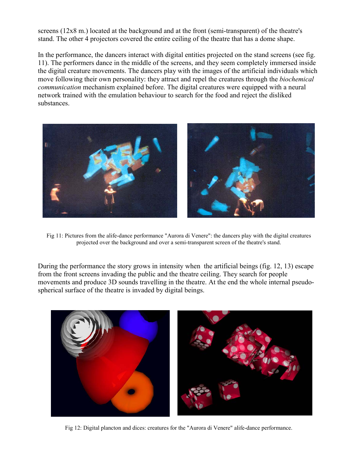screens (12x8 m.) located at the background and at the front (semi-transparent) of the theatre's stand. The other 4 projectors covered the entire ceiling of the theatre that has a dome shape.

In the performance, the dancers interact with digital entities projected on the stand screens (see fig. 11). The performers dance in the middle of the screens, and they seem completely immersed inside the digital creature movements. The dancers play with the images of the artificial individuals which move following their own personality: they attract and repel the creatures through the *biochemical communication* mechanism explained before. The digital creatures were equipped with a neural network trained with the emulation behaviour to search for the food and reject the disliked substances.



Fig 11: Pictures from the alife-dance performance "Aurora di Venere": the dancers play with the digital creatures projected over the background and over a semi-transparent screen of the theatre's stand.

During the performance the story grows in intensity when the artificial beings (fig. 12, 13) escape from the front screens invading the public and the theatre ceiling. They search for people movements and produce 3D sounds travelling in the theatre. At the end the whole internal pseudospherical surface of the theatre is invaded by digital beings.



Fig 12: Digital plancton and dices: creatures for the "Aurora di Venere" alife-dance performance.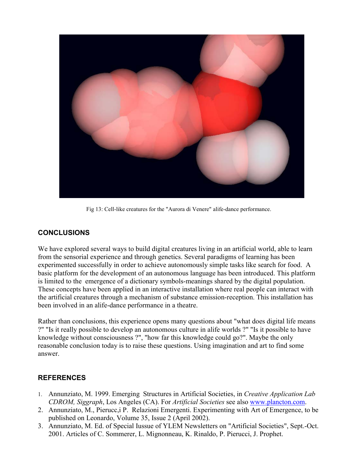

Fig 13: Cell-like creatures for the "Aurora di Venere" alife-dance performance.

## **CONCLUSIONS**

We have explored several ways to build digital creatures living in an artificial world, able to learn from the sensorial experience and through genetics. Several paradigms of learning has been experimented successfully in order to achieve autonomously simple tasks like search for food. A basic platform for the development of an autonomous language has been introduced. This platform is limited to the emergence of a dictionary symbols-meanings shared by the digital population. These concepts have been applied in an interactive installation where real people can interact with the artificial creatures through a mechanism of substance emission-reception. This installation has been involved in an alife-dance performance in a theatre.

Rather than conclusions, this experience opens many questions about "what does digital life means ?" "Is it really possible to develop an autonomous culture in alife worlds ?" "Is it possible to have knowledge without consciousness ?", "how far this knowledge could go?". Maybe the only reasonable conclusion today is to raise these questions. Using imagination and art to find some answer.

## **REFERENCES**

- 1. Annunziato, M. 1999. Emerging Structures in Artificial Societies, in *Creative Application Lab CDROM, Siggraph*, Los Angeles (CA). For *Artificial Societies* see also www.plancton.com.
- 2. Annunziato, M., Pierucc,i P. Relazioni Emergenti. Experimenting with Art of Emergence, to be published on Leonardo, Volume 35, Issue 2 (April 2002).
- 3. Annunziato, M. Ed. of Special Iussue of YLEM Newsletters on "Artificial Societies", Sept.-Oct. 2001. Articles of C. Sommerer, L. Mignonneau, K. Rinaldo, P. Pierucci, J. Prophet.